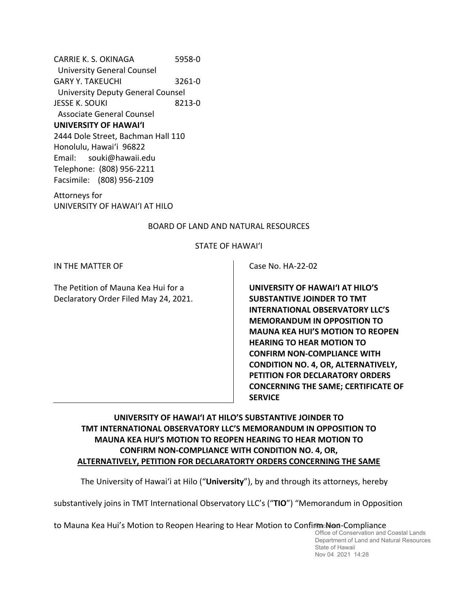CARRIE K. S. OKINAGA 5958‐0 University General Counsel GARY Y. TAKEUCHI 3261-0 University Deputy General Counsel JESSE K. SOUKI 8213-0 Associate General Counsel **UNIVERSITY OF HAWAI'I** 2444 Dole Street, Bachman Hall 110 Honolulu, Hawai'i 96822 Email: souki@hawaii.edu Telephone: (808) 956‐2211 Facsimile: (808) 956‐2109

Attorneys for UNIVERSITY OF HAWAIʻI AT HILO

## BOARD OF LAND AND NATURAL RESOURCES

## STATE OF HAWAI'I

IN THE MATTER OF

The Petition of Mauna Kea Hui for a Declaratory Order Filed May 24, 2021. Case No. HA‐22‐02

**UNIVERSITY OF HAWAI'I AT HILO'S SUBSTANTIVE JOINDER TO TMT INTERNATIONAL OBSERVATORY LLC'S MEMORANDUM IN OPPOSITION TO MAUNA KEA HUI'S MOTION TO REOPEN HEARING TO HEAR MOTION TO CONFIRM NON‐COMPLIANCE WITH CONDITION NO. 4, OR, ALTERNATIVELY, PETITION FOR DECLARATORY ORDERS CONCERNING THE SAME; CERTIFICATE OF SERVICE**

# **UNIVERSITY OF HAWAI'I AT HILO'S SUBSTANTIVE JOINDER TO TMT INTERNATIONAL OBSERVATORY LLC'S MEMORANDUM IN OPPOSITION TO MAUNA KEA HUI'S MOTION TO REOPEN HEARING TO HEAR MOTION TO CONFIRM NON‐COMPLIANCE WITH CONDITION NO. 4, OR, ALTERNATIVELY, PETITION FOR DECLARATORTY ORDERS CONCERNING THE SAME**

The University of Hawai'i at Hilo ("**University**"), by and through its attorneys, hereby

substantively joins in TMT International Observatory LLC's ("**TIO**") "Memorandum in Opposition

to Mauna Kea Hui's Motion to Reopen Hearing to Hear Motion to Confirma Non-Compliance

Office of Conservation and Coastal Lands Department of Land and Natural Resources State of Hawaii Nov 04 2021 14:28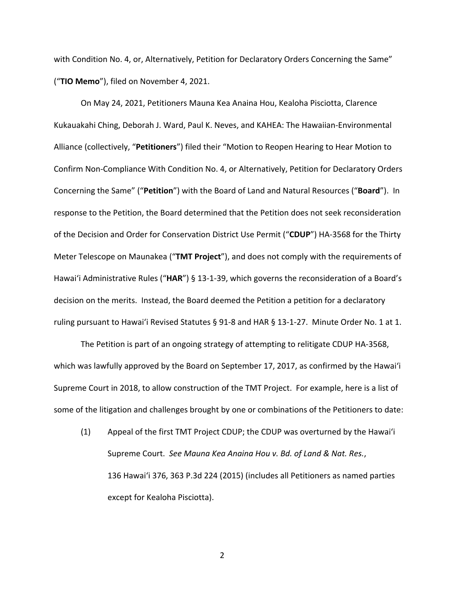with Condition No. 4, or, Alternatively, Petition for Declaratory Orders Concerning the Same" ("**TIO Memo**"), filed on November 4, 2021.

On May 24, 2021, Petitioners Mauna Kea Anaina Hou, Kealoha Pisciotta, Clarence Kukauakahi Ching, Deborah J. Ward, Paul K. Neves, and KAHEA: The Hawaiian‐Environmental Alliance (collectively, "**Petitioners**") filed their "Motion to Reopen Hearing to Hear Motion to Confirm Non‐Compliance With Condition No. 4, or Alternatively, Petition for Declaratory Orders Concerning the Same" ("**Petition**") with the Board of Land and Natural Resources ("**Board**"). In response to the Petition, the Board determined that the Petition does not seek reconsideration of the Decision and Order for Conservation District Use Permit ("**CDUP**") HA‐3568 for the Thirty Meter Telescope on Maunakea ("**TMT Project**"), and does not comply with the requirements of Hawai'i Administrative Rules ("**HAR**") § 13‐1‐39, which governs the reconsideration of a Board's decision on the merits. Instead, the Board deemed the Petition a petition for a declaratory ruling pursuant to Hawai'i Revised Statutes § 91‐8 and HAR § 13‐1‐27. Minute Order No. 1 at 1.

The Petition is part of an ongoing strategy of attempting to relitigate CDUP HA‐3568, which was lawfully approved by the Board on September 17, 2017, as confirmed by the Hawai'i Supreme Court in 2018, to allow construction of the TMT Project. For example, here is a list of some of the litigation and challenges brought by one or combinations of the Petitioners to date:

(1) Appeal of the first TMT Project CDUP; the CDUP was overturned by the Hawai'i Supreme Court. *See Mauna Kea Anaina Hou v. Bd. of Land & Nat. Res.*, 136 Hawai'i 376, 363 P.3d 224 (2015) (includes all Petitioners as named parties except for Kealoha Pisciotta).

2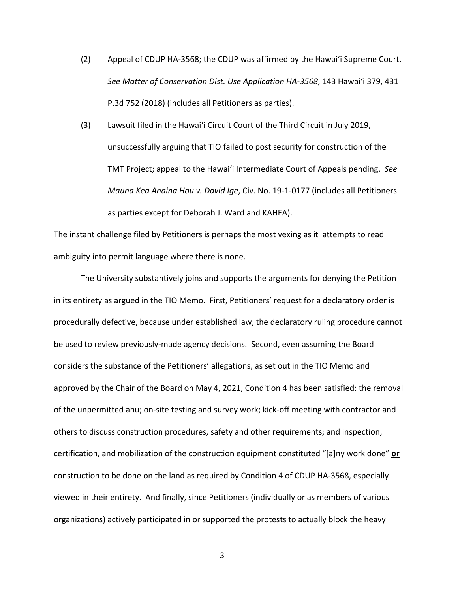- (2) Appeal of CDUP HA‐3568; the CDUP was affirmed by the Hawai'i Supreme Court. *See Matter of Conservation Dist. Use Application HA‐3568*, 143 Hawai'i 379, 431 P.3d 752 (2018) (includes all Petitioners as parties).
- (3) Lawsuit filed in the Hawaiʻi Circuit Court of the Third Circuit in July 2019, unsuccessfully arguing that TIO failed to post security for construction of the TMT Project; appeal to the Hawaiʻi Intermediate Court of Appeals pending. *See Mauna Kea Anaina Hou v. David Ige*, Civ. No. 19‐1‐0177 (includes all Petitioners as parties except for Deborah J. Ward and KAHEA).

The instant challenge filed by Petitioners is perhaps the most vexing as it attempts to read ambiguity into permit language where there is none.

The University substantively joins and supports the arguments for denying the Petition in its entirety as argued in the TIO Memo. First, Petitioners' request for a declaratory order is procedurally defective, because under established law, the declaratory ruling procedure cannot be used to review previously‐made agency decisions. Second, even assuming the Board considers the substance of the Petitioners' allegations, as set out in the TIO Memo and approved by the Chair of the Board on May 4, 2021, Condition 4 has been satisfied: the removal of the unpermitted ahu; on‐site testing and survey work; kick‐off meeting with contractor and others to discuss construction procedures, safety and other requirements; and inspection, certification, and mobilization of the construction equipment constituted "[a]ny work done" **or** construction to be done on the land as required by Condition 4 of CDUP HA‐3568, especially viewed in their entirety. And finally, since Petitioners (individually or as members of various organizations) actively participated in or supported the protests to actually block the heavy

 $\sim$  3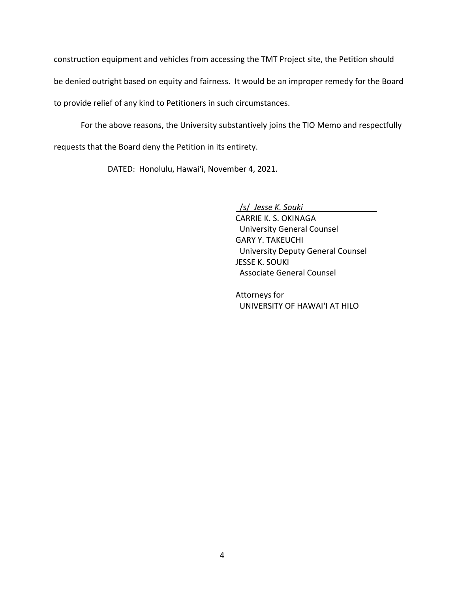construction equipment and vehicles from accessing the TMT Project site, the Petition should be denied outright based on equity and fairness. It would be an improper remedy for the Board to provide relief of any kind to Petitioners in such circumstances.

For the above reasons, the University substantively joins the TIO Memo and respectfully requests that the Board deny the Petition in its entirety.

DATED: Honolulu, Hawai'i, November 4, 2021.

/s/ *Jesse K. Souki*

CARRIE K. S. OKINAGA University General Counsel GARY Y. TAKEUCHI University Deputy General Counsel JESSE K. SOUKI Associate General Counsel

Attorneys for UNIVERSITY OF HAWAIʻI AT HILO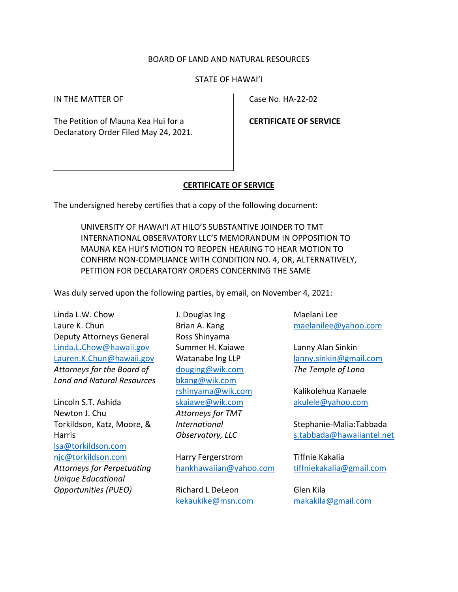# BOARD OF LAND AND NATURAL RESOURCES

### STATE OF HAWAI'I

IN THE MATTER OF

The Petition of Mauna Kea Hui for a Declaratory Order Filed May 24, 2021. Case No. HA‐22‐02

**CERTIFICATE OF SERVICE**

#### **CERTIFICATE OF SERVICE**

The undersigned hereby certifies that a copy of the following document:

UNIVERSITY OF HAWAI'I AT HILO'S SUBSTANTIVE JOINDER TO TMT INTERNATIONAL OBSERVATORY LLC'S MEMORANDUM IN OPPOSITION TO MAUNA KEA HUI'S MOTION TO REOPEN HEARING TO HEAR MOTION TO CONFIRM NON‐COMPLIANCE WITH CONDITION NO. 4, OR, ALTERNATIVELY, PETITION FOR DECLARATORY ORDERS CONCERNING THE SAME

Was duly served upon the following parties, by email, on November 4, 2021:

Linda L.W. Chow Laure K. Chun Deputy Attorneys General Linda.L.Chow@hawaii.gov Lauren.K.Chun@hawaii.gov *Attorneys for the Board of Land and Natural Resources* 

Lincoln S.T. Ashida Newton J. Chu Torkildson, Katz, Moore, & Harris lsa@torkildson.com njc@torkildson.com *Attorneys for Perpetuating Unique Educational Opportunities (PUEO)* 

J. Douglas Ing Brian A. Kang Ross Shinyama Summer H. Kaiawe Watanabe lng LLP douging@wik.com bkang@wik.com rshinyama@wik.com skaiawe@wik.com *Attorneys for TMT International Observatory, LLC*

Harry Fergerstrom hankhawaiian@yahoo.com

Richard L DeLeon kekaukike@msn.com Maelani Lee maelanilee@yahoo.com

Lanny Alan Sinkin lanny.sinkin@gmail.com *The Temple of Lono* 

Kalikolehua Kanaele akulele@yahoo.com

Stephanie‐Malia:Tabbada s.tabbada@hawaiiantel.net

Tiffnie Kakalia tiffniekakalia@gmail.com

Glen Kila makakila@gmail.com